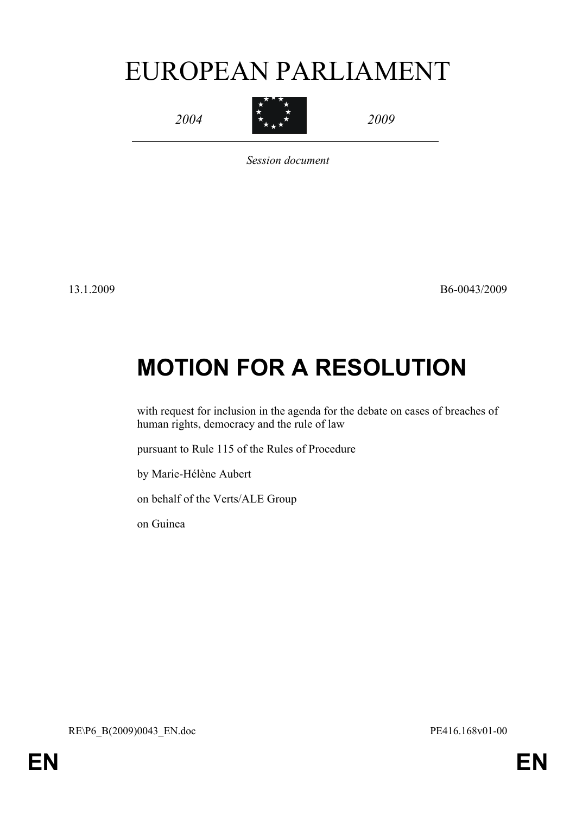# EUROPEAN PARLIAMENT

*2004*



*2009*

*Session document*

13.1.2009 B6-0043/2009

# **MOTION FOR A RESOLUTION**

with request for inclusion in the agenda for the debate on cases of breaches of human rights, democracy and the rule of law

pursuant to Rule 115 of the Rules of Procedure

by Marie-Hélène Aubert

on behalf of the Verts/ALE Group

<span id="page-0-1"></span><span id="page-0-0"></span>on Guinea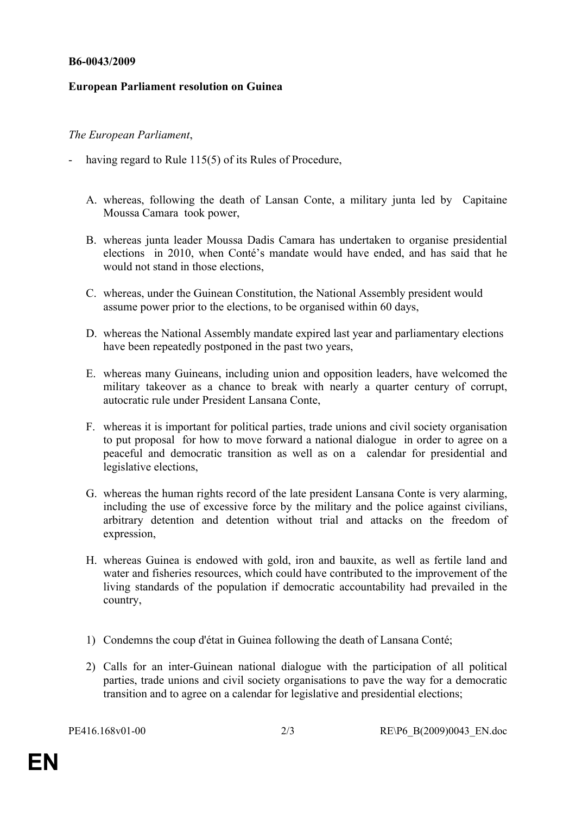#### **B6-0043/2009**

## **European Parliament resolution on Guinea**

## *The European Parliament*,

- having regard to Rule 115(5) of its Rules of Procedure,
	- A. whereas, following the death of Lansan Conte, a military junta led by Capitaine Moussa Camara took power,
	- B. whereas junta leader Moussa Dadis Camara has undertaken to organise presidential elections in 2010, when Conté's mandate would have ended, and has said that he would not stand in those elections
	- C. whereas, under the Guinean Constitution, the National Assembly president would assume power prior to the elections, to be organised within 60 days,
	- D. whereas the National Assembly mandate expired last year and parliamentary elections have been repeatedly postponed in the past two years,
	- E. whereas many Guineans, including union and opposition leaders, have welcomed the military takeover as a chance to break with nearly a quarter century of corrupt, autocratic rule under President Lansana Conte,
	- F. whereas it is important for political parties, trade unions and civil society organisation to put proposal for how to move forward a national dialogue in order to agree on a peaceful and democratic transition as well as on a calendar for presidential and legislative elections,
	- G. whereas the human rights record of the late president Lansana Conte is very alarming, including the use of excessive force by the military and the police against civilians, arbitrary detention and detention without trial and attacks on the freedom of expression,
	- H. whereas Guinea is endowed with gold, iron and bauxite, as well as fertile land and water and fisheries resources, which could have contributed to the improvement of the living standards of the population if democratic accountability had prevailed in the country,
	- 1) Condemns the coup d'état in Guinea following the death of Lansana Conté;
	- 2) Calls for an inter-Guinean national dialogue with the participation of all political parties, trade unions and civil society organisations to pave the way for a democratic transition and to agree on a calendar for legislative and presidential elections;